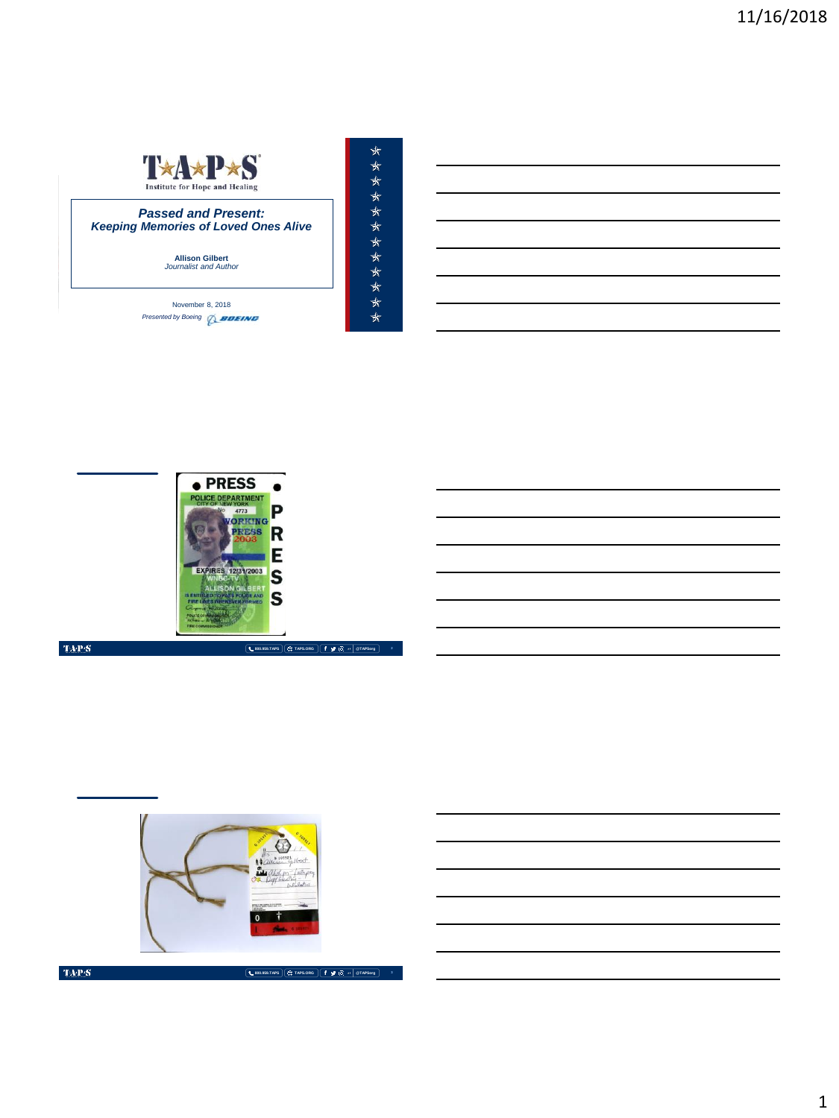

\*\*\*\*\*\*\*\*\*\*\*\*\*\*

**Presented by Boeing** *Q\_BOEING* 



 $\mathrm{TaP}\mathcal{S}$ 



 $\langle \mathbf{T} \mathbf{A} \mathbf{P} \mathbf{S} \rangle$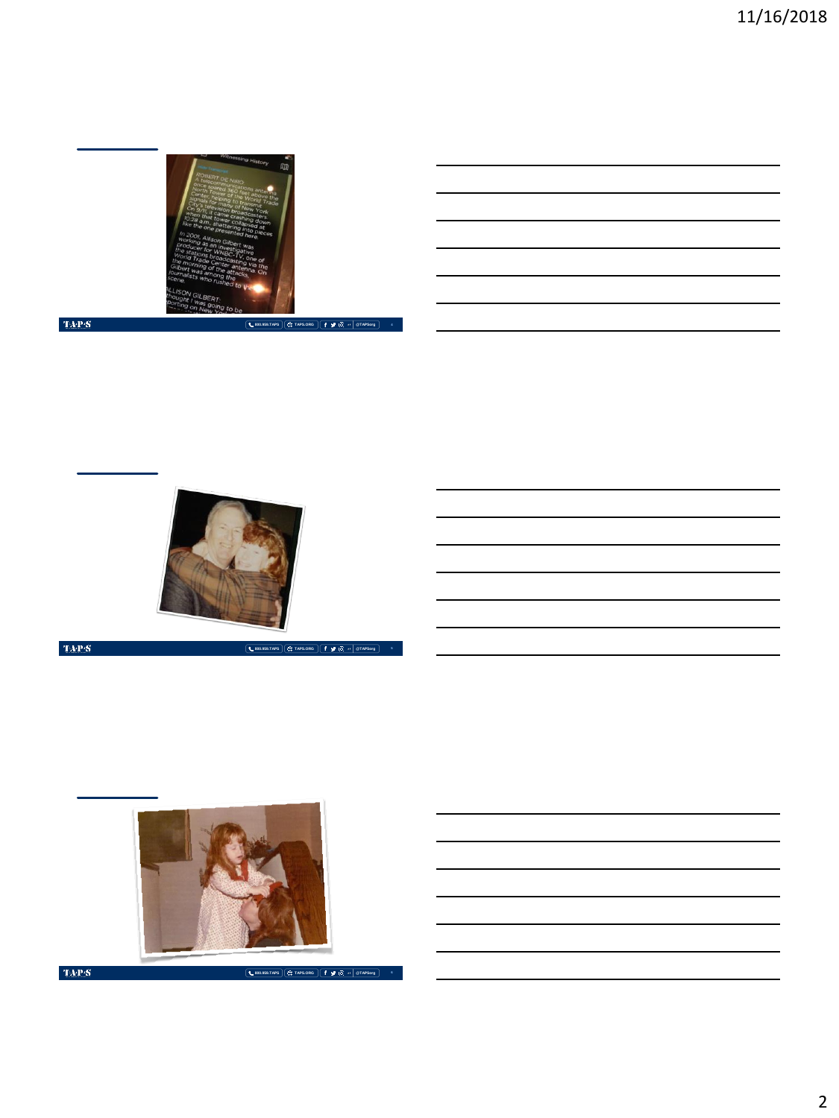



**800.959.TAPS TAPS.ORG @TAPSorg 5**



TAP:S

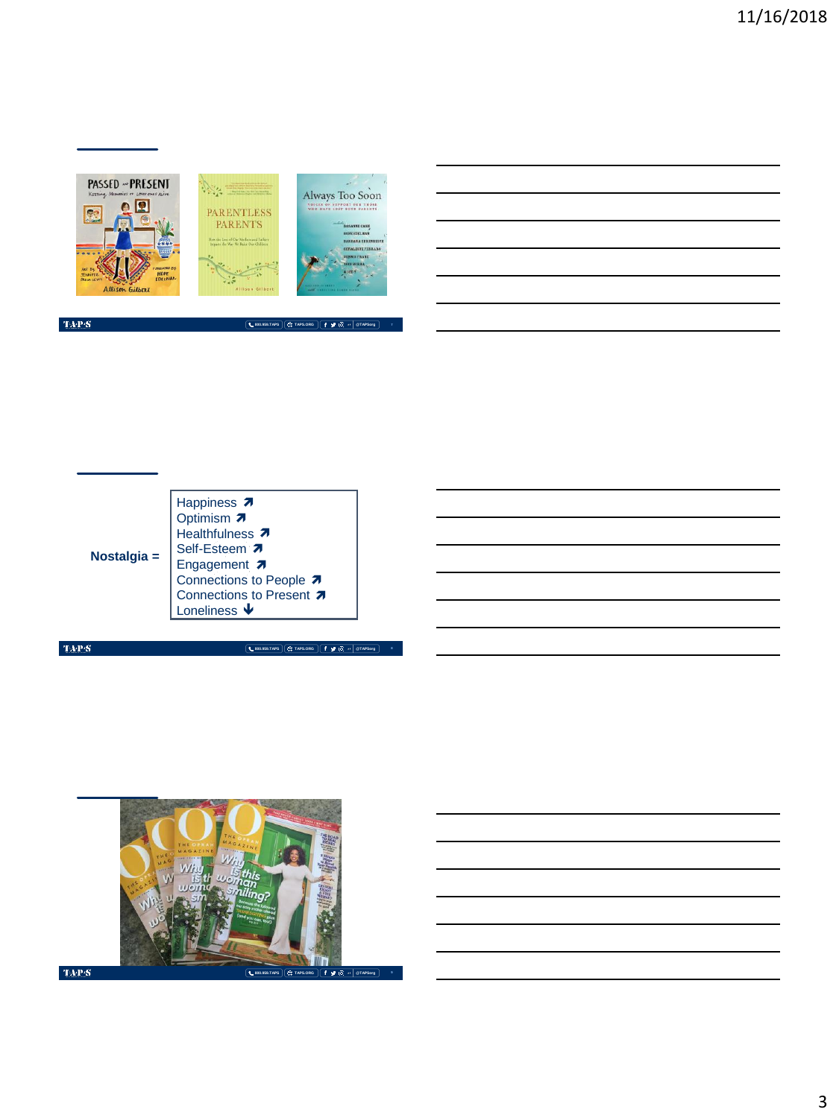









 $\langle \ensuremath{\mathrm{TAPS}}\xspace \rangle$ 



 $\mathrm{TAP}S$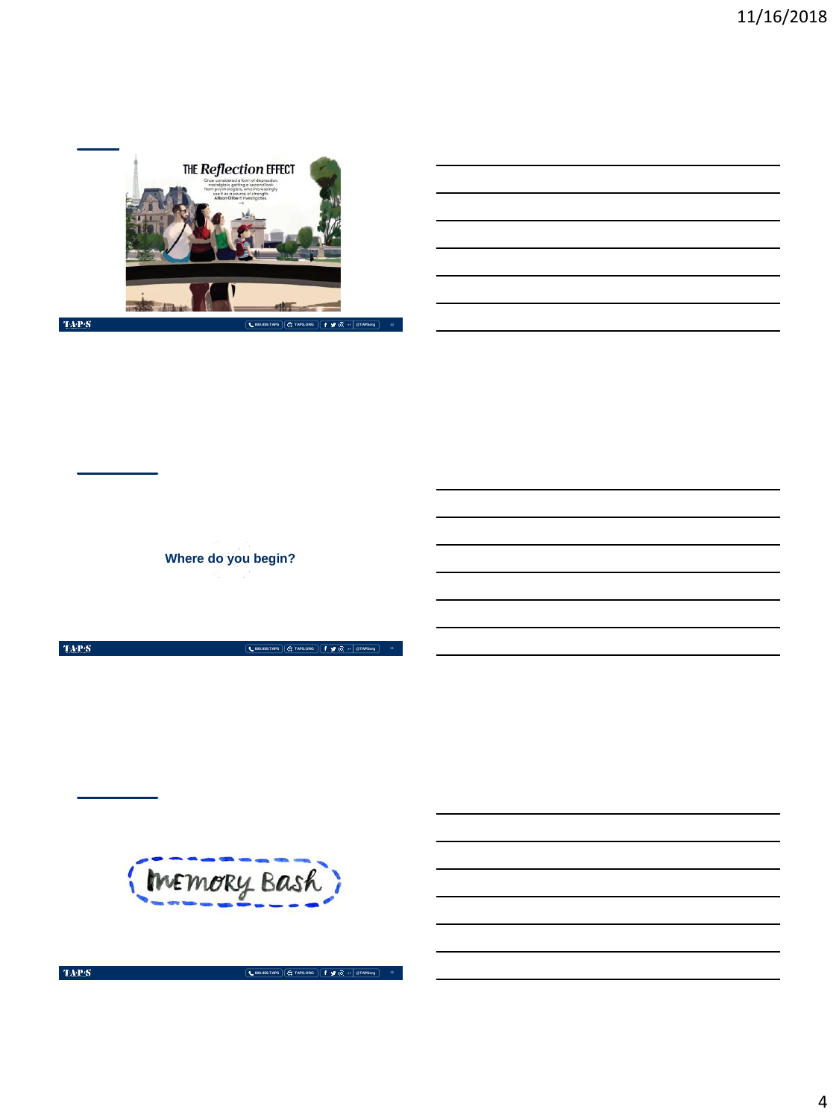

**Where do you begin?**

 $\langle \ensuremath{\mathrm{TAPS}}\xspace \rangle$ 

**800.959.TAPS TAPS.ORG @TAPSorg**



 $\mbox{TA-PS}$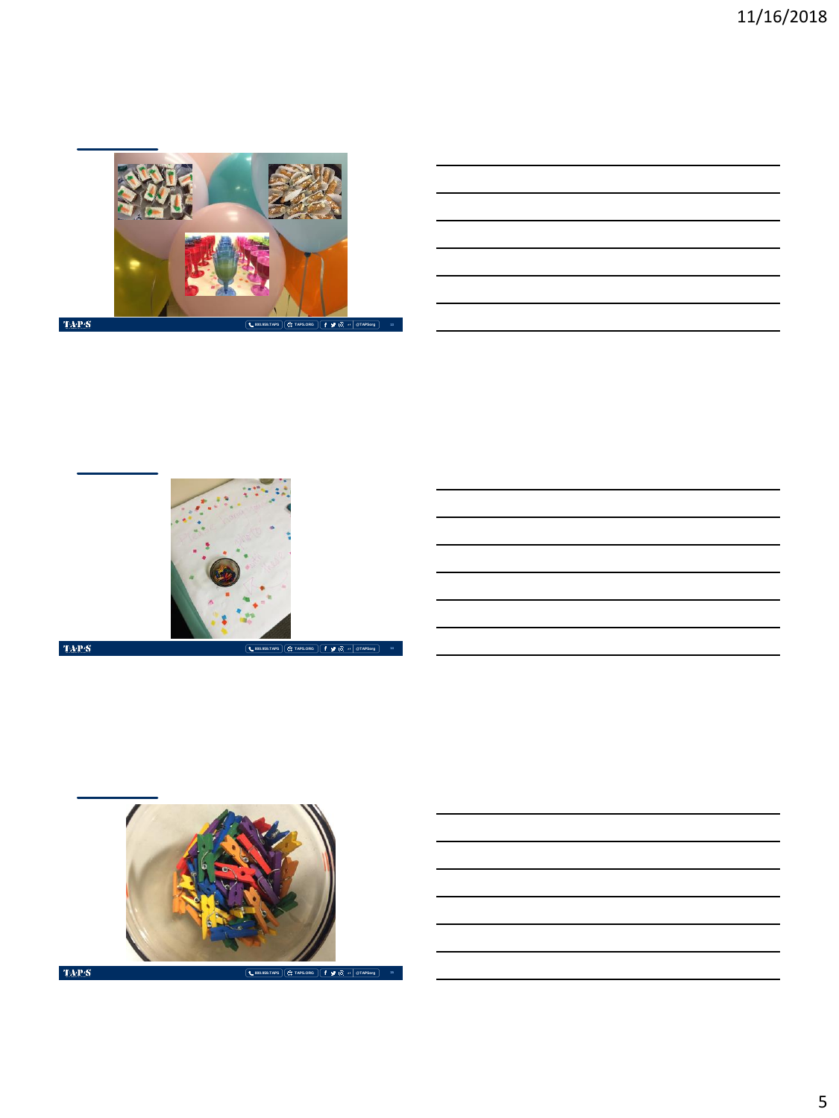





 $\mathrm{TAP}\mathcal{S}$ 

 $\mbox{TAPS}$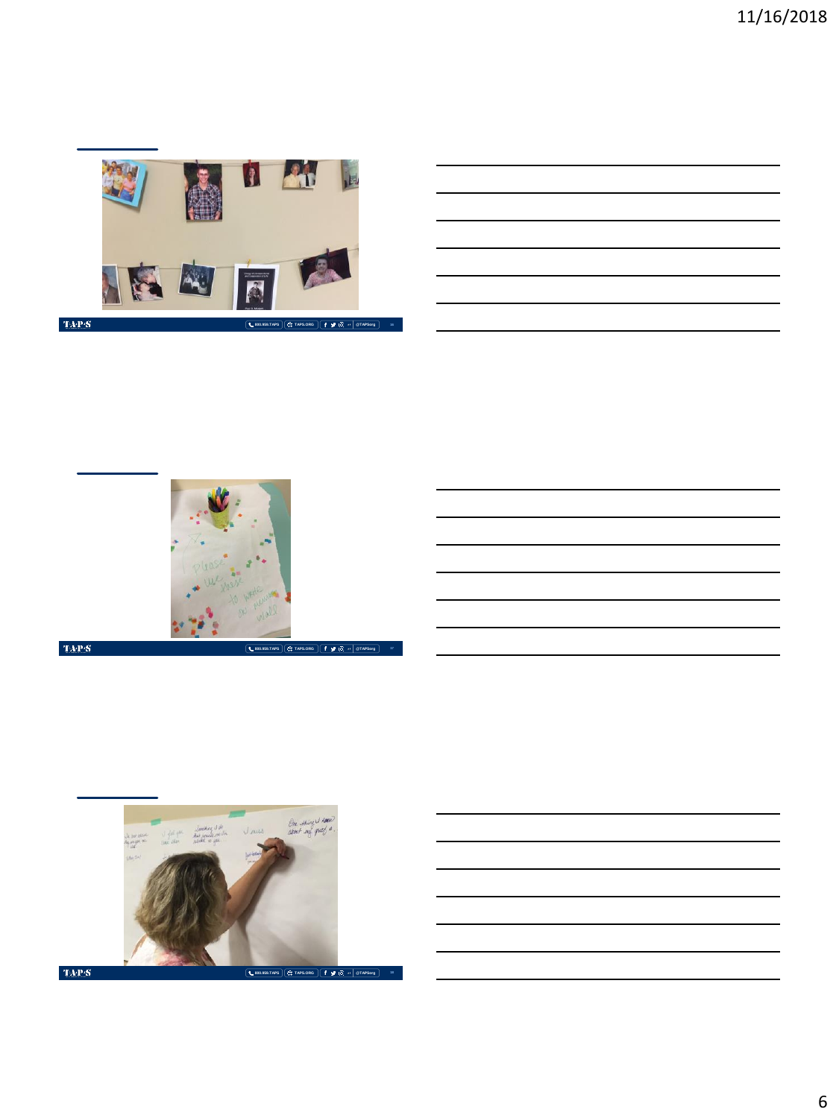





 $\mathrm{TaP}\mathcal{S}$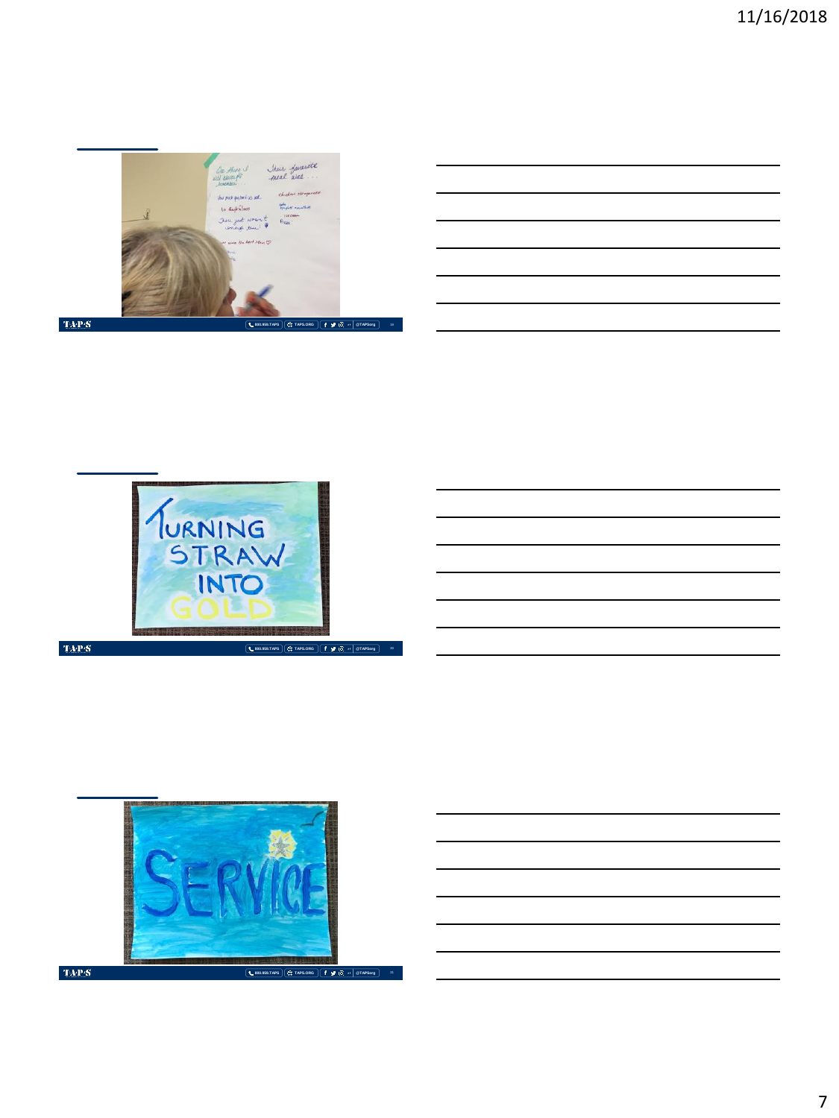





7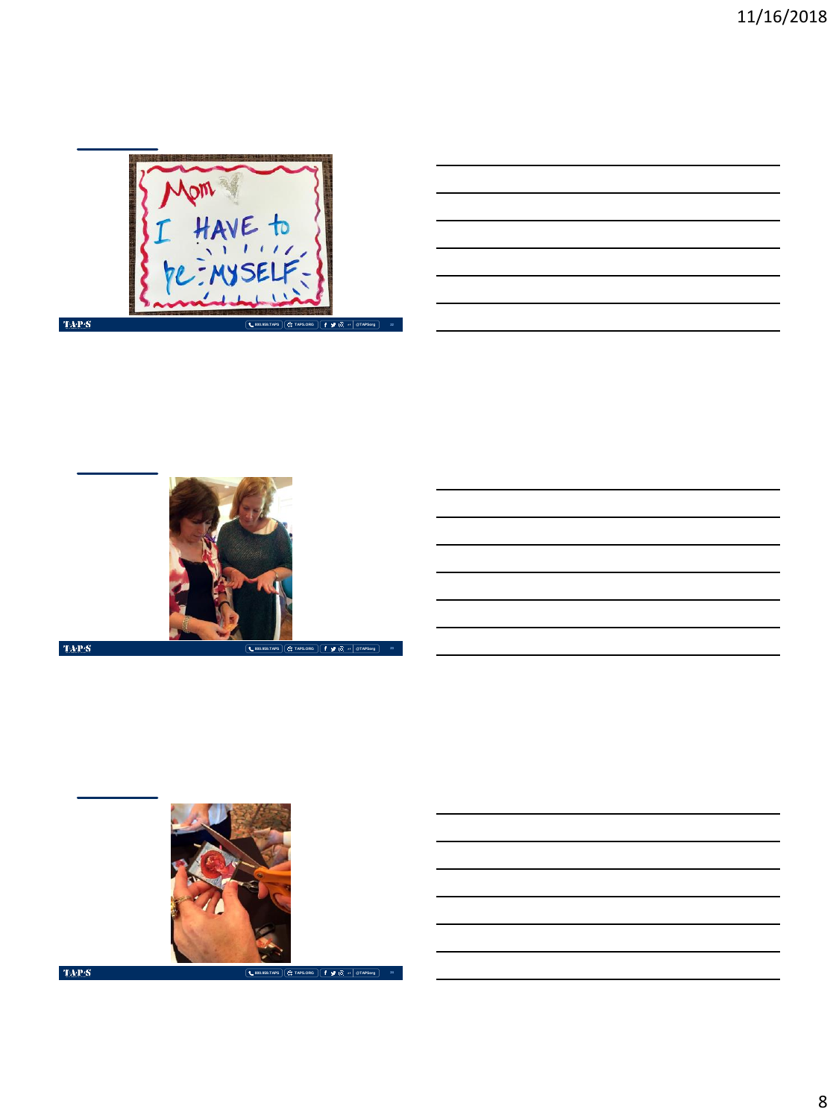



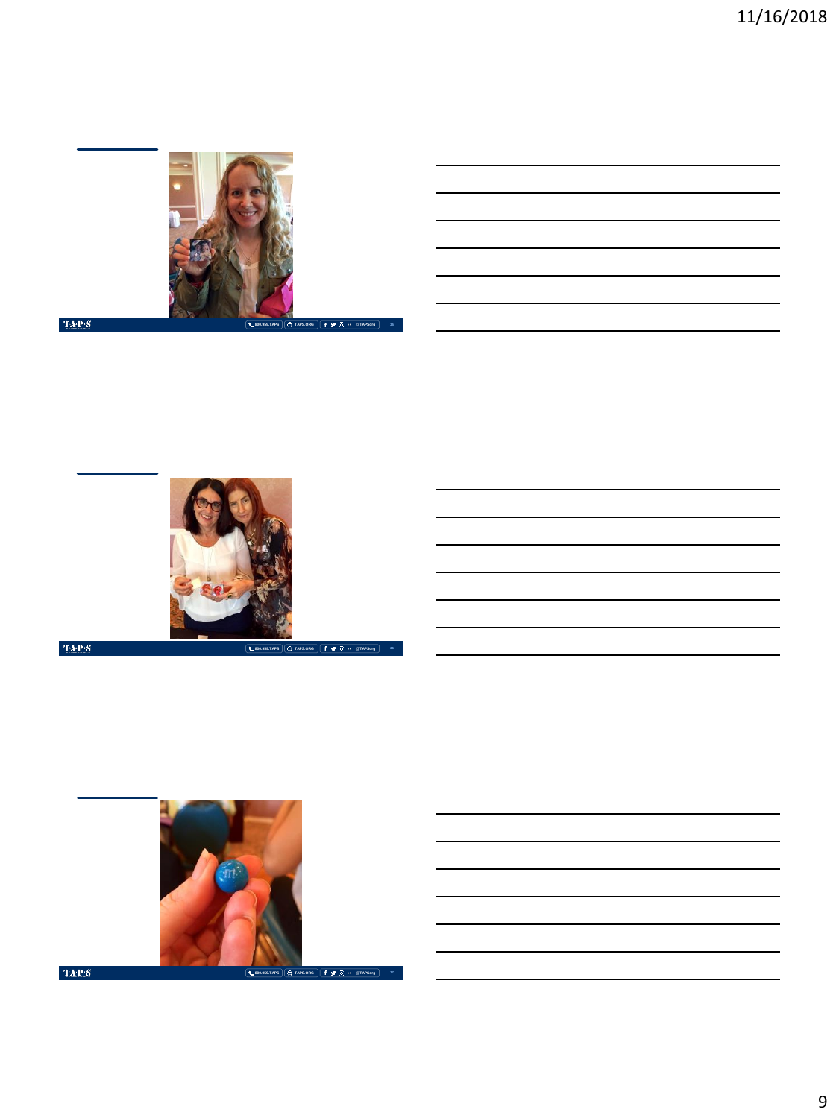





TAP $\mathbf{S}$ 



 $\mbox{TA-PS}$ 

**800.959.TAPS TAPS.ORG @TAPSorg 27**

**800.959.TAPS TAPS.ORG @TAPSorg 26**

9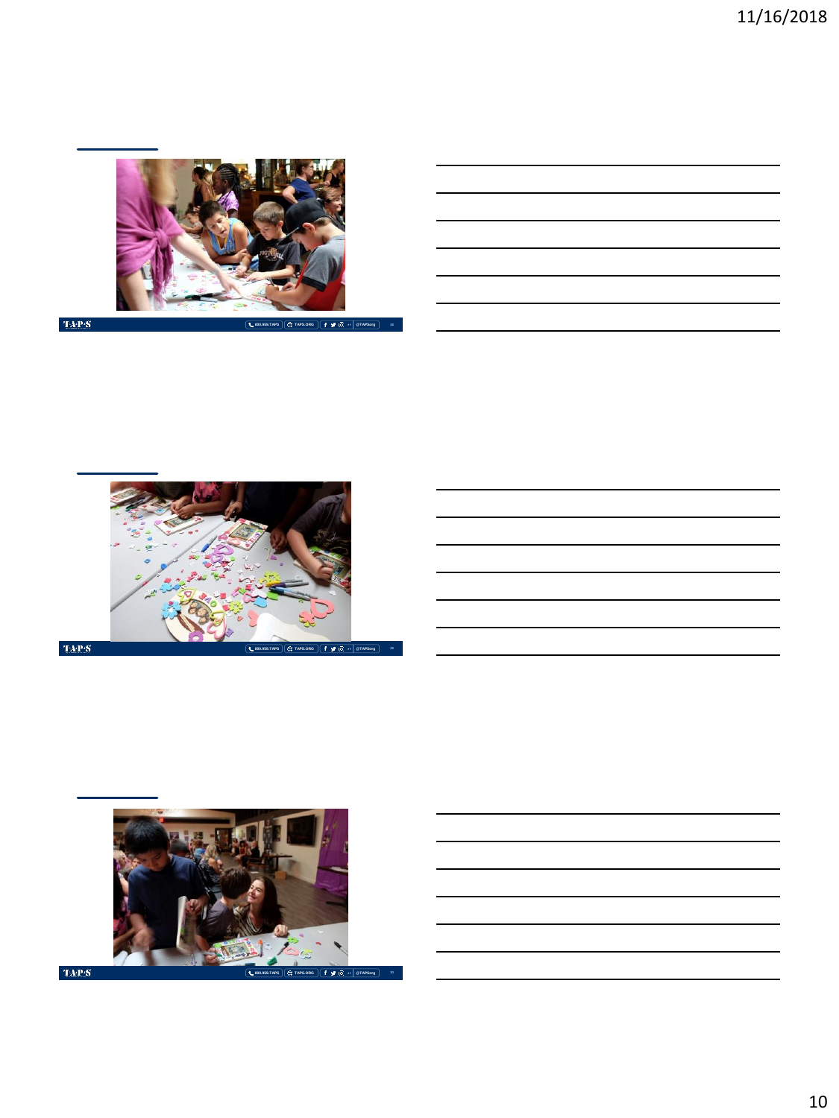

 $\mbox{TAP-S}$ 



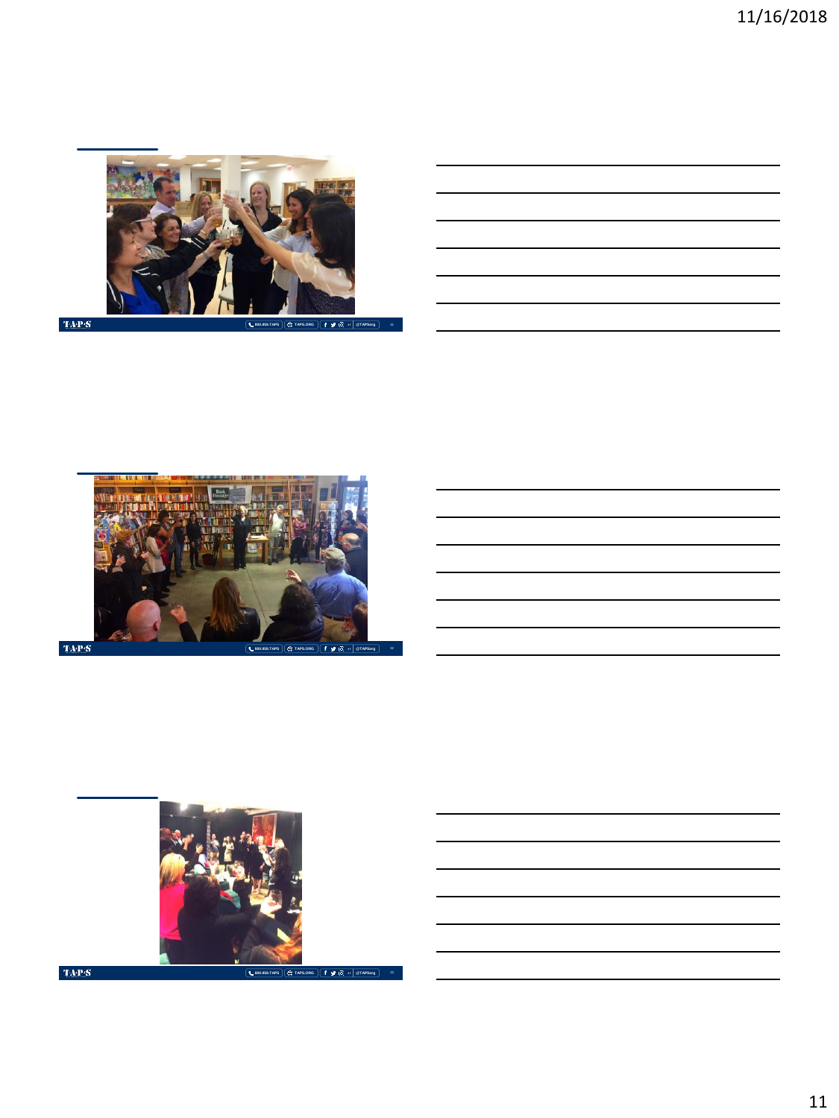

 $\langle \ensuremath{\mathrm{TAPS}}\xspace \rangle$ 

**800.959.TAPS TAPS.ORG @TAPSorg 31**





 $\mathrm{TAP}\mathcal{S}$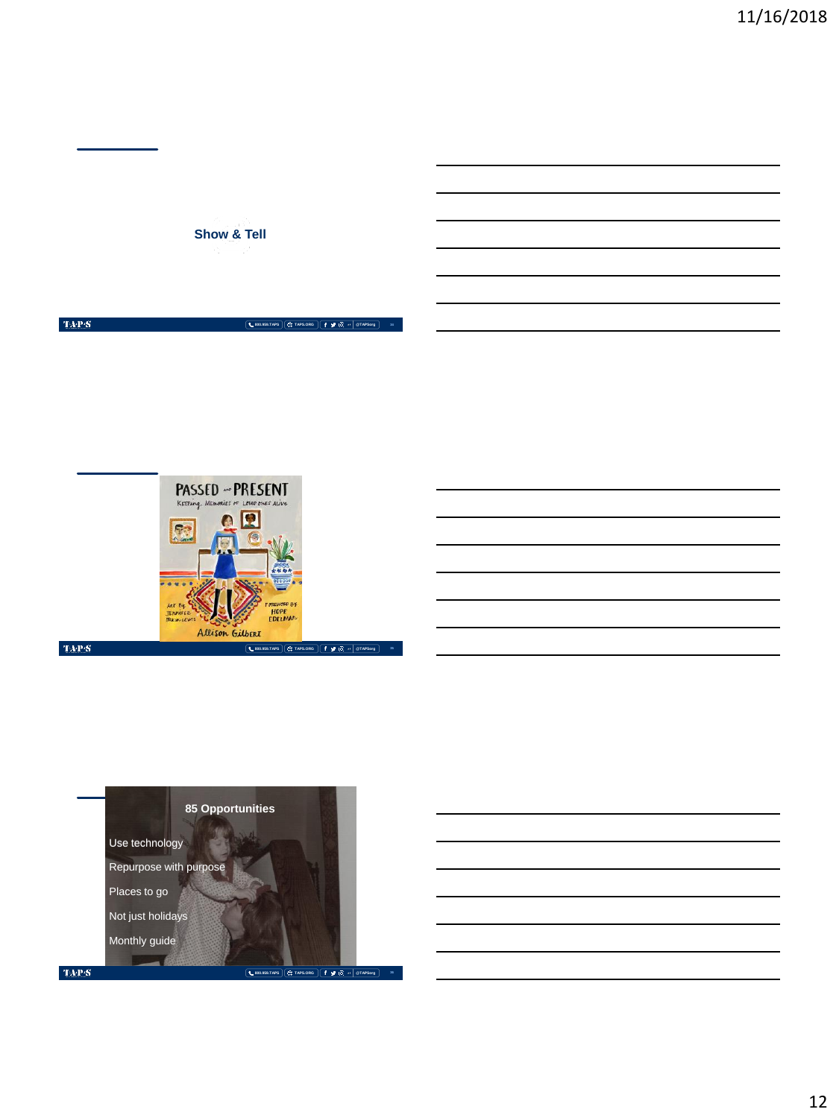**Show & Tell**

 $\mbox{TAPS}$ 



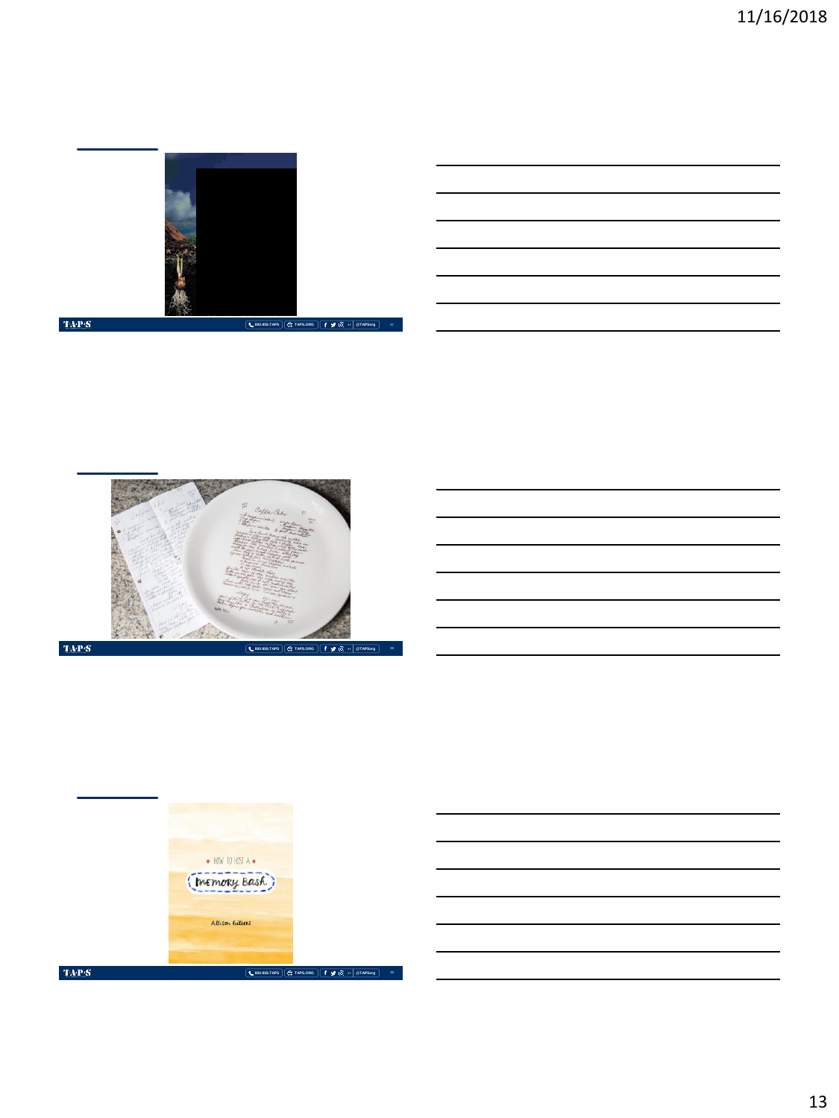





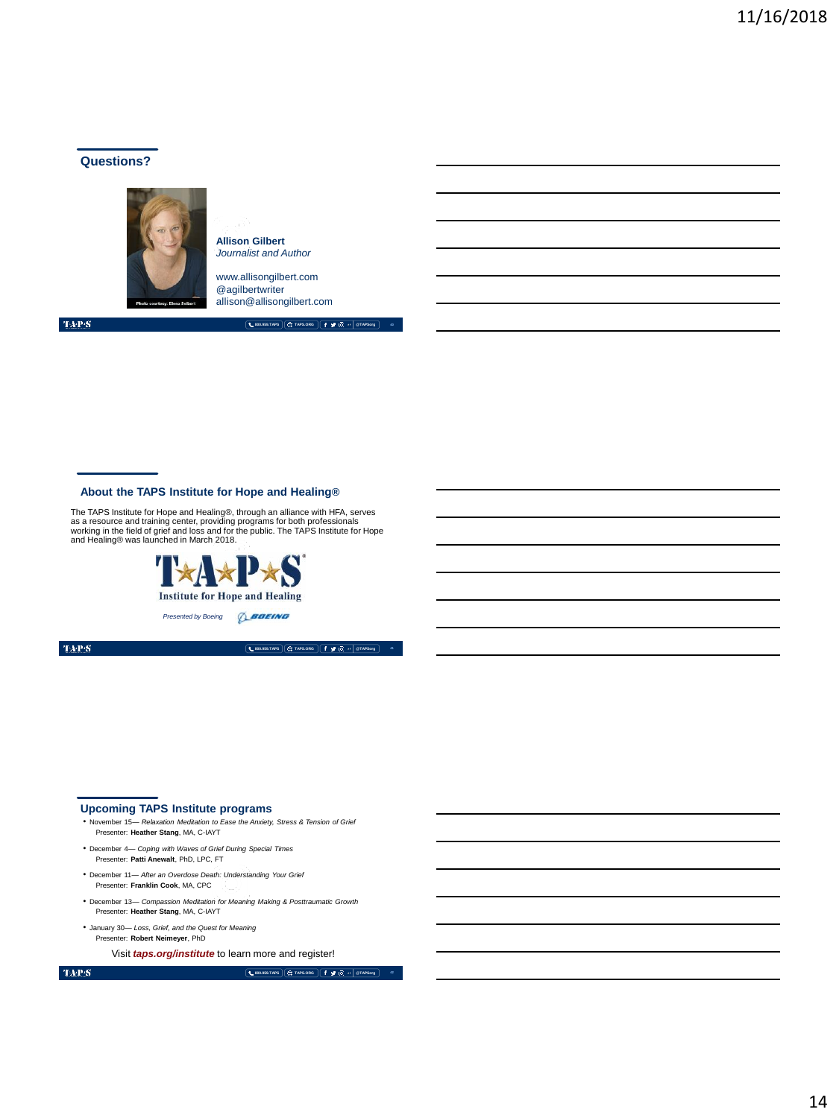## **Questions?**



**Allison Gilbert** *Journalist and Author*

www.allisongilbert.com @agilbertwriter allison@allisongilbert.com

 $\mathrm{TAP}S$ 

**800.959.TAPS TAPS.ORG @TAPSorg 40**

## **About the TAPS Institute for Hope and Healing®**

The TAPS Institute for Hope and Healing®, through an alliance with HFA, serves<br>as a resource and training center, providing programs for both professionals<br>working in the field of grief and loss and for the public. The TA



TAP $\mathbf S$ 

**800.959.TAPS TAPS.ORG @TAPSorg 41**

## **Upcoming TAPS Institute programs**

- November 15— *Relaxation Meditation to Ease the Anxiety, Stress & Tension of Grief* Presenter: **Heather Stang**, MA, C-IAYT
- December 4— *Coping with Waves of Grief During Special Times* Presenter: **Patti Anewalt**, PhD, LPC, FT
- December 11— *After an Overdose Death: Understanding Your Grief* Presenter: **Franklin Cook**, MA, CPC
- December 13— *Compassion Meditation for Meaning Making & Posttraumatic Growth* Presenter: **Heather Stang**, MA, C-IAYT
- January 30— *Loss, Grief, and the Quest for Meaning* Presenter: **Robert Neimeyer**, PhD
	- Visit *taps.org/institute* to learn more and register!

 $\mbox{TA-PS}$